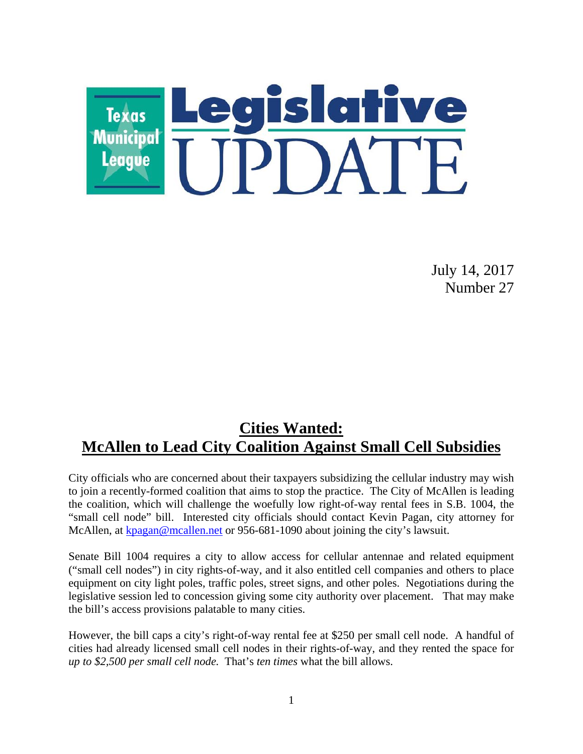

July 14, 2017 Number 27

### **Cities Wanted: McAllen to Lead City Coalition Against Small Cell Subsidies**

City officials who are concerned about their taxpayers subsidizing the cellular industry may wish to join a recently-formed coalition that aims to stop the practice. The City of McAllen is leading the coalition, which will challenge the woefully low right-of-way rental fees in S.B. 1004, the "small cell node" bill. Interested city officials should contact Kevin Pagan, city attorney for McAllen, at kpagan@mcallen.net or 956-681-1090 about joining the city's lawsuit.

Senate Bill 1004 requires a city to allow access for cellular antennae and related equipment ("small cell nodes") in city rights-of-way, and it also entitled cell companies and others to place equipment on city light poles, traffic poles, street signs, and other poles. Negotiations during the legislative session led to concession giving some city authority over placement. That may make the bill's access provisions palatable to many cities.

However, the bill caps a city's right-of-way rental fee at \$250 per small cell node. A handful of cities had already licensed small cell nodes in their rights-of-way, and they rented the space for *up to \$2,500 per small cell node.* That's *ten times* what the bill allows.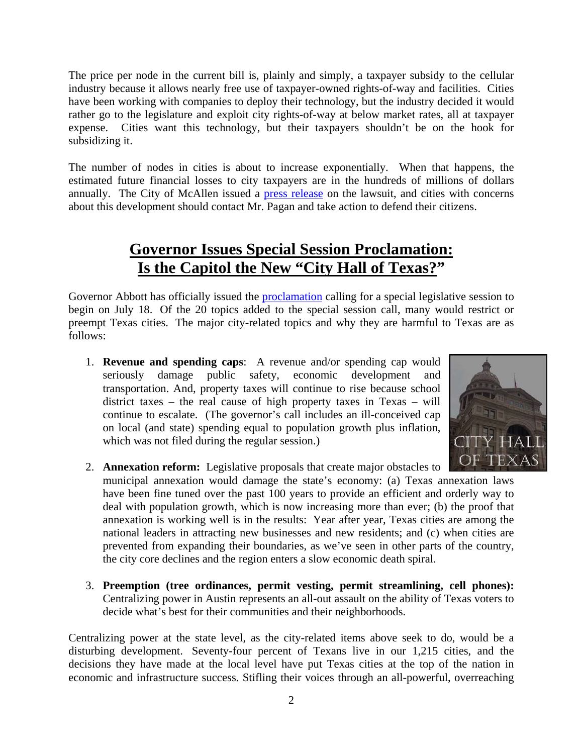The price per node in the current bill is, plainly and simply, a taxpayer subsidy to the cellular industry because it allows nearly free use of taxpayer-owned rights-of-way and facilities. Cities have been working with companies to deploy their technology, but the industry decided it would rather go to the legislature and exploit city rights-of-way at below market rates, all at taxpayer expense. Cities want this technology, but their taxpayers shouldn't be on the hook for subsidizing it.

The number of nodes in cities is about to increase exponentially. When that happens, the estimated future financial losses to city taxpayers are in the hundreds of millions of dollars annually. The City of McAllen issued a press release on the lawsuit, and cities with concerns about this development should contact Mr. Pagan and take action to defend their citizens.

# **Governor Issues Special Session Proclamation: Is the Capitol the New "City Hall of Texas?"**

Governor Abbott has officially issued the proclamation calling for a special legislative session to begin on July 18. Of the 20 topics added to the special session call, many would restrict or preempt Texas cities. The major city-related topics and why they are harmful to Texas are as follows:

1. **Revenue and spending caps**: A revenue and/or spending cap would seriously damage public safety, economic development and transportation. And, property taxes will continue to rise because school district taxes – the real cause of high property taxes in Texas – will continue to escalate. (The governor's call includes an ill-conceived cap on local (and state) spending equal to population growth plus inflation, which was not filed during the regular session.)



- 2. **Annexation reform:** Legislative proposals that create major obstacles to municipal annexation would damage the state's economy: (a) Texas annexation laws have been fine tuned over the past 100 years to provide an efficient and orderly way to deal with population growth, which is now increasing more than ever; (b) the proof that annexation is working well is in the results: Year after year, Texas cities are among the national leaders in attracting new businesses and new residents; and (c) when cities are prevented from expanding their boundaries, as we've seen in other parts of the country, the city core declines and the region enters a slow economic death spiral.
- 3. **Preemption (tree ordinances, permit vesting, permit streamlining, cell phones):** Centralizing power in Austin represents an all-out assault on the ability of Texas voters to decide what's best for their communities and their neighborhoods.

Centralizing power at the state level, as the city-related items above seek to do, would be a disturbing development. Seventy-four percent of Texans live in our 1,215 cities, and the decisions they have made at the local level have put Texas cities at the top of the nation in economic and infrastructure success. Stifling their voices through an all-powerful, overreaching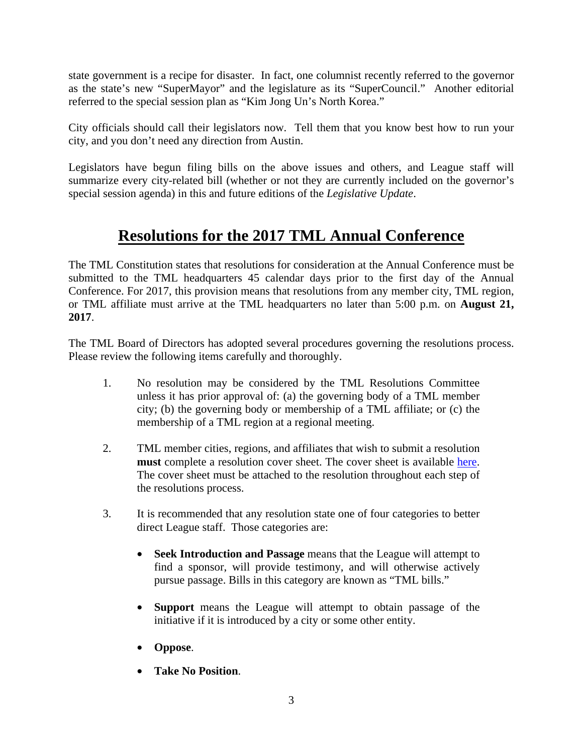state government is a recipe for disaster. In fact, one columnist recently referred to the governor as the state's new "SuperMayor" and the legislature as its "SuperCouncil." Another editorial referred to the special session plan as "Kim Jong Un's North Korea."

City officials should call their legislators now. Tell them that you know best how to run your city, and you don't need any direction from Austin.

Legislators have begun filing bills on the above issues and others, and League staff will summarize every city-related bill (whether or not they are currently included on the governor's special session agenda) in this and future editions of the *Legislative Update*.

# **Resolutions for the 2017 TML Annual Conference**

The TML Constitution states that resolutions for consideration at the Annual Conference must be submitted to the TML headquarters 45 calendar days prior to the first day of the Annual Conference. For 2017, this provision means that resolutions from any member city, TML region, or TML affiliate must arrive at the TML headquarters no later than 5:00 p.m. on **August 21, 2017**.

The TML Board of Directors has adopted several procedures governing the resolutions process. Please review the following items carefully and thoroughly.

- 1. No resolution may be considered by the TML Resolutions Committee unless it has prior approval of: (a) the governing body of a TML member city; (b) the governing body or membership of a TML affiliate; or (c) the membership of a TML region at a regional meeting.
- 2. TML member cities, regions, and affiliates that wish to submit a resolution **must** complete a resolution cover sheet. The cover sheet is available here. The cover sheet must be attached to the resolution throughout each step of the resolutions process.
- 3. It is recommended that any resolution state one of four categories to better direct League staff. Those categories are:
	- **Seek Introduction and Passage** means that the League will attempt to find a sponsor, will provide testimony, and will otherwise actively pursue passage. Bills in this category are known as "TML bills."
	- **Support** means the League will attempt to obtain passage of the initiative if it is introduced by a city or some other entity.
	- **Oppose**.
	- **Take No Position**.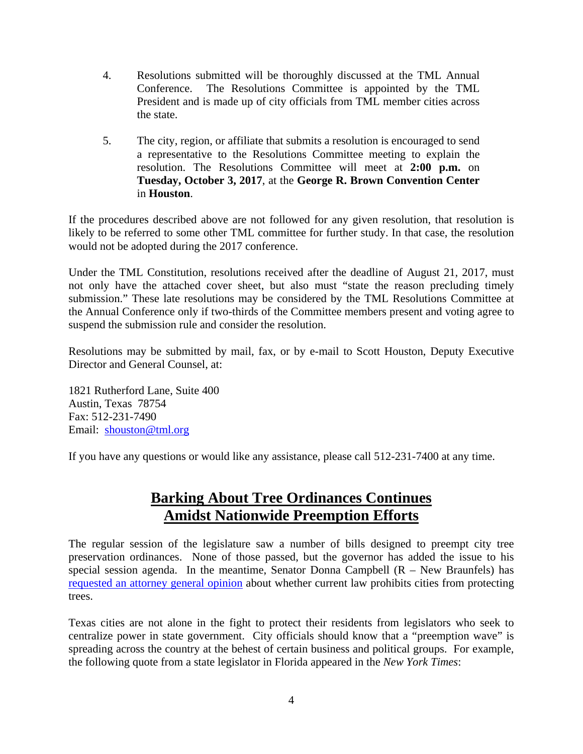- 4. Resolutions submitted will be thoroughly discussed at the TML Annual Conference. The Resolutions Committee is appointed by the TML President and is made up of city officials from TML member cities across the state.
- 5. The city, region, or affiliate that submits a resolution is encouraged to send a representative to the Resolutions Committee meeting to explain the resolution. The Resolutions Committee will meet at **2:00 p.m.** on **Tuesday, October 3, 2017**, at the **George R. Brown Convention Center**  in **Houston**.

If the procedures described above are not followed for any given resolution, that resolution is likely to be referred to some other TML committee for further study. In that case, the resolution would not be adopted during the 2017 conference.

Under the TML Constitution, resolutions received after the deadline of August 21, 2017, must not only have the attached cover sheet, but also must "state the reason precluding timely submission." These late resolutions may be considered by the TML Resolutions Committee at the Annual Conference only if two-thirds of the Committee members present and voting agree to suspend the submission rule and consider the resolution.

Resolutions may be submitted by mail, fax, or by e-mail to Scott Houston, Deputy Executive Director and General Counsel, at:

1821 Rutherford Lane, Suite 400 Austin, Texas 78754 Fax: 512-231-7490 Email: shouston@tml.org

If you have any questions or would like any assistance, please call 512-231-7400 at any time.

### **Barking About Tree Ordinances Continues Amidst Nationwide Preemption Efforts**

The regular session of the legislature saw a number of bills designed to preempt city tree preservation ordinances. None of those passed, but the governor has added the issue to his special session agenda. In the meantime, Senator Donna Campbell  $(R - New Braunfels)$  has requested an attorney general opinion about whether current law prohibits cities from protecting trees.

Texas cities are not alone in the fight to protect their residents from legislators who seek to centralize power in state government. City officials should know that a "preemption wave" is spreading across the country at the behest of certain business and political groups. For example, the following quote from a state legislator in Florida appeared in the *New York Times*: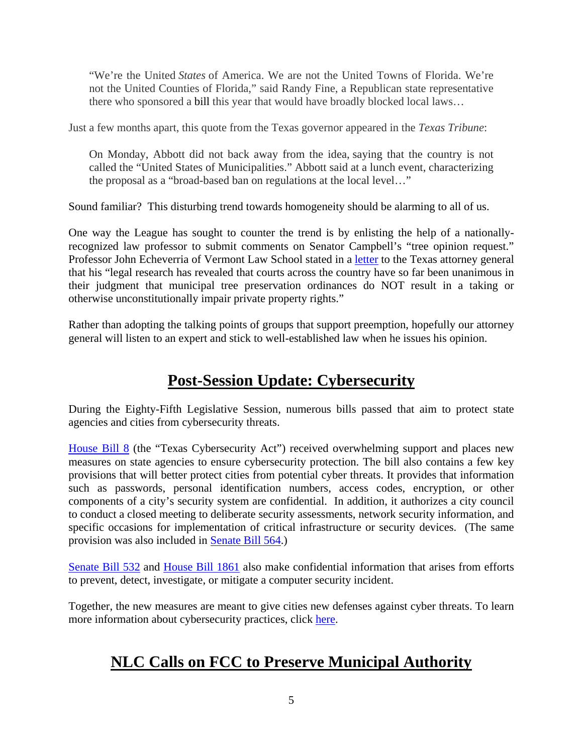"We're the United *States* of America. We are not the United Towns of Florida. We're not the United Counties of Florida," said Randy Fine, a Republican state representative there who sponsored a bill this year that would have broadly blocked local laws…

Just a few months apart, this quote from the Texas governor appeared in the *Texas Tribune*:

On Monday, Abbott did not back away from the idea, saying that the country is not called the "United States of Municipalities." Abbott said at a lunch event, characterizing the proposal as a "broad-based ban on regulations at the local level…"

Sound familiar? This disturbing trend towards homogeneity should be alarming to all of us.

One way the League has sought to counter the trend is by enlisting the help of a nationallyrecognized law professor to submit comments on Senator Campbell's "tree opinion request." Professor John Echeverria of Vermont Law School stated in a letter to the Texas attorney general that his "legal research has revealed that courts across the country have so far been unanimous in their judgment that municipal tree preservation ordinances do NOT result in a taking or otherwise unconstitutionally impair private property rights."

Rather than adopting the talking points of groups that support preemption, hopefully our attorney general will listen to an expert and stick to well-established law when he issues his opinion.

# **Post-Session Update: Cybersecurity**

During the Eighty-Fifth Legislative Session, numerous bills passed that aim to protect state agencies and cities from cybersecurity threats.

House Bill 8 (the "Texas Cybersecurity Act") received overwhelming support and places new measures on state agencies to ensure cybersecurity protection. The bill also contains a few key provisions that will better protect cities from potential cyber threats. It provides that information such as passwords, personal identification numbers, access codes, encryption, or other components of a city's security system are confidential. In addition, it authorizes a city council to conduct a closed meeting to deliberate security assessments, network security information, and specific occasions for implementation of critical infrastructure or security devices. (The same provision was also included in Senate Bill 564.)

Senate Bill 532 and House Bill 1861 also make confidential information that arises from efforts to prevent, detect, investigate, or mitigate a computer security incident.

Together, the new measures are meant to give cities new defenses against cyber threats. To learn more information about cybersecurity practices, click here.

# **NLC Calls on FCC to Preserve Municipal Authority**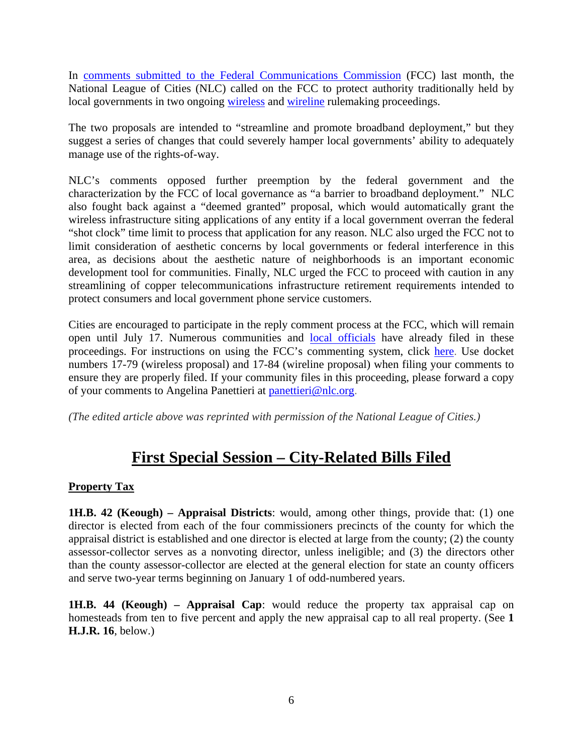In comments submitted to the Federal Communications Commission (FCC) last month, the National League of Cities (NLC) called on the FCC to protect authority traditionally held by local governments in two ongoing wireless and wireline rulemaking proceedings.

The two proposals are intended to "streamline and promote broadband deployment," but they suggest a series of changes that could severely hamper local governments' ability to adequately manage use of the rights-of-way.

NLC's comments opposed further preemption by the federal government and the characterization by the FCC of local governance as "a barrier to broadband deployment." NLC also fought back against a "deemed granted" proposal, which would automatically grant the wireless infrastructure siting applications of any entity if a local government overran the federal "shot clock" time limit to process that application for any reason. NLC also urged the FCC not to limit consideration of aesthetic concerns by local governments or federal interference in this area, as decisions about the aesthetic nature of neighborhoods is an important economic development tool for communities. Finally, NLC urged the FCC to proceed with caution in any streamlining of copper telecommunications infrastructure retirement requirements intended to protect consumers and local government phone service customers.

Cities are encouraged to participate in the reply comment process at the FCC, which will remain open until July 17. Numerous communities and local officials have already filed in these proceedings. For instructions on using the FCC's commenting system, click here. Use docket numbers 17-79 (wireless proposal) and 17-84 (wireline proposal) when filing your comments to ensure they are properly filed. If your community files in this proceeding, please forward a copy of your comments to Angelina Panettieri at panettieri@nlc.org.

*(The edited article above was reprinted with permission of the National League of Cities.)* 

### **First Special Session – City-Related Bills Filed**

#### **Property Tax**

**1H.B. 42 (Keough) – Appraisal Districts**: would, among other things, provide that: (1) one director is elected from each of the four commissioners precincts of the county for which the appraisal district is established and one director is elected at large from the county; (2) the county assessor-collector serves as a nonvoting director, unless ineligible; and (3) the directors other than the county assessor-collector are elected at the general election for state an county officers and serve two-year terms beginning on January 1 of odd-numbered years.

**1H.B. 44 (Keough) – Appraisal Cap**: would reduce the property tax appraisal cap on homesteads from ten to five percent and apply the new appraisal cap to all real property. (See **1 H.J.R. 16**, below.)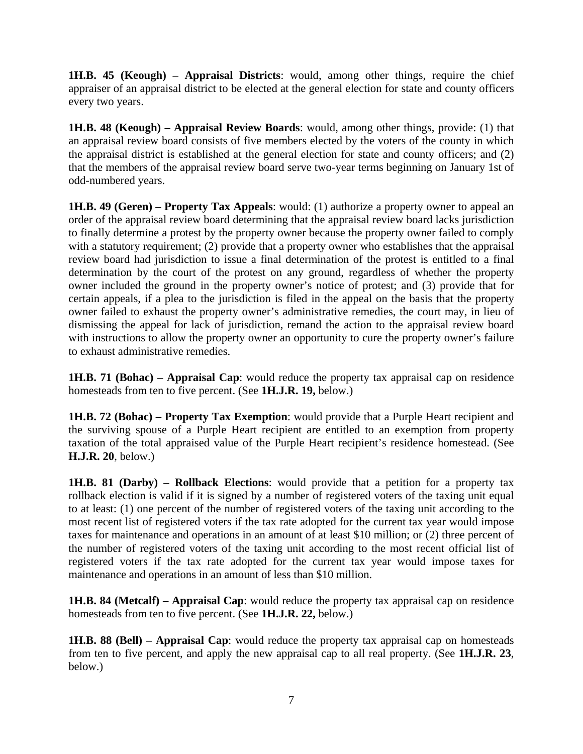**1H.B. 45 (Keough) – Appraisal Districts**: would, among other things, require the chief appraiser of an appraisal district to be elected at the general election for state and county officers every two years.

**1H.B. 48 (Keough) – Appraisal Review Boards**: would, among other things, provide: (1) that an appraisal review board consists of five members elected by the voters of the county in which the appraisal district is established at the general election for state and county officers; and (2) that the members of the appraisal review board serve two-year terms beginning on January 1st of odd-numbered years.

**1H.B. 49 (Geren) – Property Tax Appeals**: would: (1) authorize a property owner to appeal an order of the appraisal review board determining that the appraisal review board lacks jurisdiction to finally determine a protest by the property owner because the property owner failed to comply with a statutory requirement; (2) provide that a property owner who establishes that the appraisal review board had jurisdiction to issue a final determination of the protest is entitled to a final determination by the court of the protest on any ground, regardless of whether the property owner included the ground in the property owner's notice of protest; and (3) provide that for certain appeals, if a plea to the jurisdiction is filed in the appeal on the basis that the property owner failed to exhaust the property owner's administrative remedies, the court may, in lieu of dismissing the appeal for lack of jurisdiction, remand the action to the appraisal review board with instructions to allow the property owner an opportunity to cure the property owner's failure to exhaust administrative remedies.

**1H.B. 71 (Bohac) – Appraisal Cap**: would reduce the property tax appraisal cap on residence homesteads from ten to five percent. (See **1H.J.R. 19,** below.)

**1H.B. 72 (Bohac) – Property Tax Exemption**: would provide that a Purple Heart recipient and the surviving spouse of a Purple Heart recipient are entitled to an exemption from property taxation of the total appraised value of the Purple Heart recipient's residence homestead. (See **H.J.R. 20**, below.)

**1H.B. 81 (Darby) – Rollback Elections**: would provide that a petition for a property tax rollback election is valid if it is signed by a number of registered voters of the taxing unit equal to at least: (1) one percent of the number of registered voters of the taxing unit according to the most recent list of registered voters if the tax rate adopted for the current tax year would impose taxes for maintenance and operations in an amount of at least \$10 million; or (2) three percent of the number of registered voters of the taxing unit according to the most recent official list of registered voters if the tax rate adopted for the current tax year would impose taxes for maintenance and operations in an amount of less than \$10 million.

**1H.B. 84 (Metcalf) – Appraisal Cap**: would reduce the property tax appraisal cap on residence homesteads from ten to five percent. (See **1H.J.R. 22,** below.)

**1H.B. 88 (Bell) – Appraisal Cap**: would reduce the property tax appraisal cap on homesteads from ten to five percent, and apply the new appraisal cap to all real property. (See **1H.J.R. 23**, below.)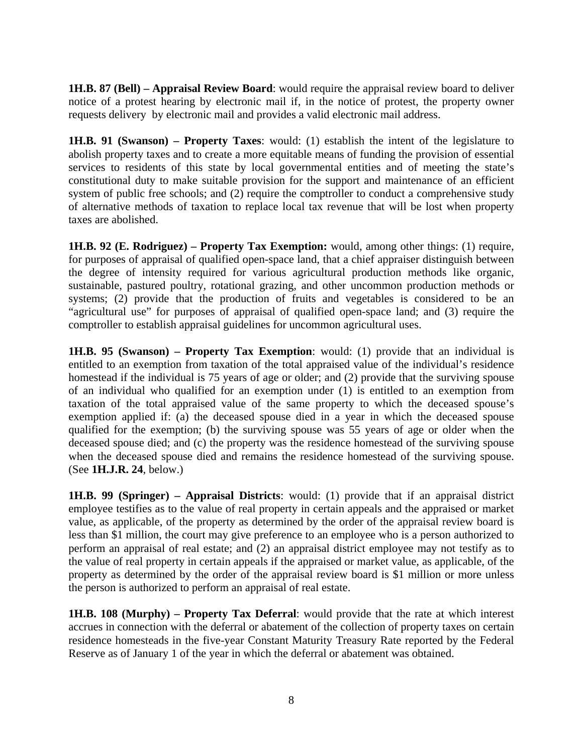**1H.B. 87 (Bell) – Appraisal Review Board**: would require the appraisal review board to deliver notice of a protest hearing by electronic mail if, in the notice of protest, the property owner requests delivery by electronic mail and provides a valid electronic mail address.

**1H.B. 91 (Swanson) – Property Taxes**: would: (1) establish the intent of the legislature to abolish property taxes and to create a more equitable means of funding the provision of essential services to residents of this state by local governmental entities and of meeting the state's constitutional duty to make suitable provision for the support and maintenance of an efficient system of public free schools; and (2) require the comptroller to conduct a comprehensive study of alternative methods of taxation to replace local tax revenue that will be lost when property taxes are abolished.

**1H.B. 92 (E. Rodriguez) – Property Tax Exemption:** would, among other things: (1) require, for purposes of appraisal of qualified open-space land, that a chief appraiser distinguish between the degree of intensity required for various agricultural production methods like organic, sustainable, pastured poultry, rotational grazing, and other uncommon production methods or systems; (2) provide that the production of fruits and vegetables is considered to be an "agricultural use" for purposes of appraisal of qualified open-space land; and (3) require the comptroller to establish appraisal guidelines for uncommon agricultural uses.

**1H.B. 95 (Swanson) – Property Tax Exemption**: would: (1) provide that an individual is entitled to an exemption from taxation of the total appraised value of the individual's residence homestead if the individual is 75 years of age or older; and (2) provide that the surviving spouse of an individual who qualified for an exemption under (1) is entitled to an exemption from taxation of the total appraised value of the same property to which the deceased spouse's exemption applied if: (a) the deceased spouse died in a year in which the deceased spouse qualified for the exemption; (b) the surviving spouse was 55 years of age or older when the deceased spouse died; and (c) the property was the residence homestead of the surviving spouse when the deceased spouse died and remains the residence homestead of the surviving spouse. (See **1H.J.R. 24**, below.)

**1H.B. 99 (Springer) – Appraisal Districts**: would: (1) provide that if an appraisal district employee testifies as to the value of real property in certain appeals and the appraised or market value, as applicable, of the property as determined by the order of the appraisal review board is less than \$1 million, the court may give preference to an employee who is a person authorized to perform an appraisal of real estate; and (2) an appraisal district employee may not testify as to the value of real property in certain appeals if the appraised or market value, as applicable, of the property as determined by the order of the appraisal review board is \$1 million or more unless the person is authorized to perform an appraisal of real estate.

**1H.B. 108 (Murphy) – Property Tax Deferral**: would provide that the rate at which interest accrues in connection with the deferral or abatement of the collection of property taxes on certain residence homesteads in the five-year Constant Maturity Treasury Rate reported by the Federal Reserve as of January 1 of the year in which the deferral or abatement was obtained.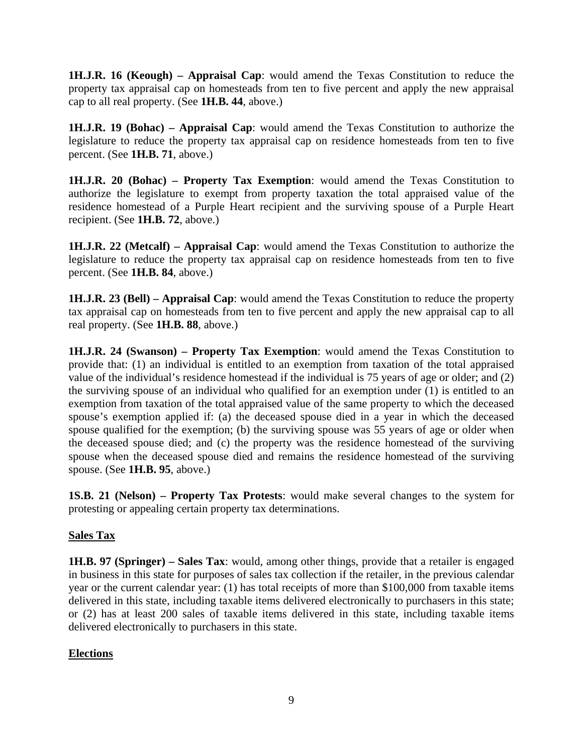**1H.J.R. 16 (Keough) – Appraisal Cap**: would amend the Texas Constitution to reduce the property tax appraisal cap on homesteads from ten to five percent and apply the new appraisal cap to all real property. (See **1H.B. 44**, above.)

**1H.J.R. 19 (Bohac) – Appraisal Cap**: would amend the Texas Constitution to authorize the legislature to reduce the property tax appraisal cap on residence homesteads from ten to five percent. (See **1H.B. 71**, above.)

**1H.J.R. 20 (Bohac) – Property Tax Exemption**: would amend the Texas Constitution to authorize the legislature to exempt from property taxation the total appraised value of the residence homestead of a Purple Heart recipient and the surviving spouse of a Purple Heart recipient. (See **1H.B. 72**, above.)

**1H.J.R. 22 (Metcalf) – Appraisal Cap**: would amend the Texas Constitution to authorize the legislature to reduce the property tax appraisal cap on residence homesteads from ten to five percent. (See **1H.B. 84**, above.)

**1H.J.R. 23 (Bell) – Appraisal Cap**: would amend the Texas Constitution to reduce the property tax appraisal cap on homesteads from ten to five percent and apply the new appraisal cap to all real property. (See **1H.B. 88**, above.)

**1H.J.R. 24 (Swanson) – Property Tax Exemption**: would amend the Texas Constitution to provide that: (1) an individual is entitled to an exemption from taxation of the total appraised value of the individual's residence homestead if the individual is 75 years of age or older; and (2) the surviving spouse of an individual who qualified for an exemption under (1) is entitled to an exemption from taxation of the total appraised value of the same property to which the deceased spouse's exemption applied if: (a) the deceased spouse died in a year in which the deceased spouse qualified for the exemption; (b) the surviving spouse was 55 years of age or older when the deceased spouse died; and (c) the property was the residence homestead of the surviving spouse when the deceased spouse died and remains the residence homestead of the surviving spouse. (See **1H.B. 95**, above.)

**1S.B. 21 (Nelson) – Property Tax Protests**: would make several changes to the system for protesting or appealing certain property tax determinations.

#### **Sales Tax**

**1H.B. 97 (Springer) – Sales Tax**: would, among other things, provide that a retailer is engaged in business in this state for purposes of sales tax collection if the retailer, in the previous calendar year or the current calendar year: (1) has total receipts of more than \$100,000 from taxable items delivered in this state, including taxable items delivered electronically to purchasers in this state; or (2) has at least 200 sales of taxable items delivered in this state, including taxable items delivered electronically to purchasers in this state.

#### **Elections**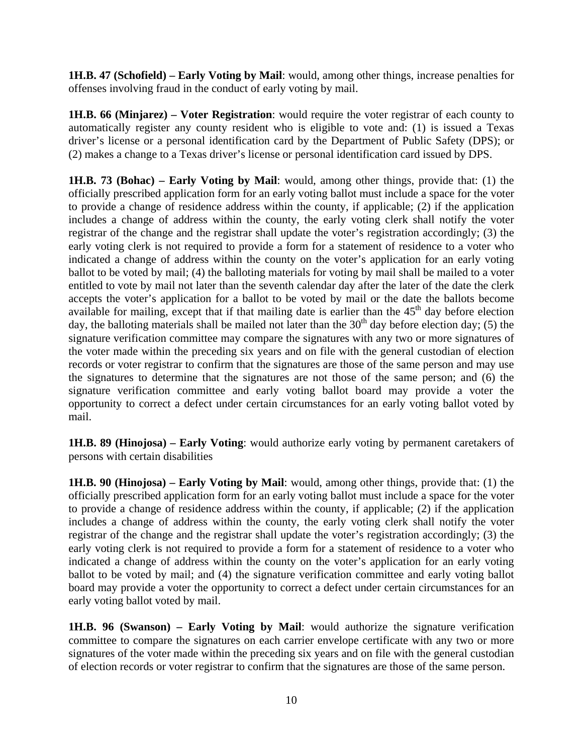**1H.B. 47 (Schofield) – Early Voting by Mail**: would, among other things, increase penalties for offenses involving fraud in the conduct of early voting by mail.

**1H.B. 66 (Minjarez) – Voter Registration**: would require the voter registrar of each county to automatically register any county resident who is eligible to vote and: (1) is issued a Texas driver's license or a personal identification card by the Department of Public Safety (DPS); or (2) makes a change to a Texas driver's license or personal identification card issued by DPS.

**1H.B. 73 (Bohac) – Early Voting by Mail**: would, among other things, provide that: (1) the officially prescribed application form for an early voting ballot must include a space for the voter to provide a change of residence address within the county, if applicable; (2) if the application includes a change of address within the county, the early voting clerk shall notify the voter registrar of the change and the registrar shall update the voter's registration accordingly; (3) the early voting clerk is not required to provide a form for a statement of residence to a voter who indicated a change of address within the county on the voter's application for an early voting ballot to be voted by mail; (4) the balloting materials for voting by mail shall be mailed to a voter entitled to vote by mail not later than the seventh calendar day after the later of the date the clerk accepts the voter's application for a ballot to be voted by mail or the date the ballots become available for mailing, except that if that mailing date is earlier than the  $45<sup>th</sup>$  day before election day, the balloting materials shall be mailed not later than the  $30<sup>th</sup>$  day before election day; (5) the signature verification committee may compare the signatures with any two or more signatures of the voter made within the preceding six years and on file with the general custodian of election records or voter registrar to confirm that the signatures are those of the same person and may use the signatures to determine that the signatures are not those of the same person; and (6) the signature verification committee and early voting ballot board may provide a voter the opportunity to correct a defect under certain circumstances for an early voting ballot voted by mail.

**1H.B. 89 (Hinojosa) – Early Voting**: would authorize early voting by permanent caretakers of persons with certain disabilities

**1H.B. 90 (Hinojosa) – Early Voting by Mail**: would, among other things, provide that: (1) the officially prescribed application form for an early voting ballot must include a space for the voter to provide a change of residence address within the county, if applicable; (2) if the application includes a change of address within the county, the early voting clerk shall notify the voter registrar of the change and the registrar shall update the voter's registration accordingly; (3) the early voting clerk is not required to provide a form for a statement of residence to a voter who indicated a change of address within the county on the voter's application for an early voting ballot to be voted by mail; and (4) the signature verification committee and early voting ballot board may provide a voter the opportunity to correct a defect under certain circumstances for an early voting ballot voted by mail.

**1H.B. 96 (Swanson) – Early Voting by Mail**: would authorize the signature verification committee to compare the signatures on each carrier envelope certificate with any two or more signatures of the voter made within the preceding six years and on file with the general custodian of election records or voter registrar to confirm that the signatures are those of the same person.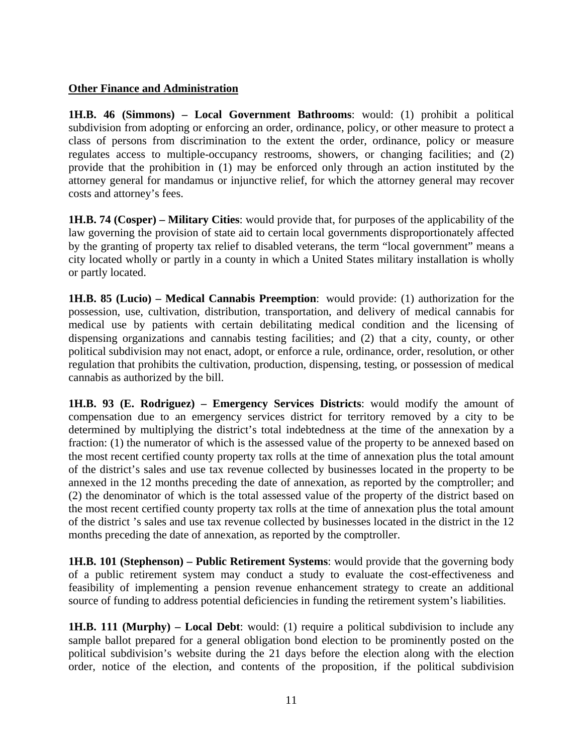#### **Other Finance and Administration**

**1H.B. 46 (Simmons) – Local Government Bathrooms**: would: (1) prohibit a political subdivision from adopting or enforcing an order, ordinance, policy, or other measure to protect a class of persons from discrimination to the extent the order, ordinance, policy or measure regulates access to multiple-occupancy restrooms, showers, or changing facilities; and (2) provide that the prohibition in (1) may be enforced only through an action instituted by the attorney general for mandamus or injunctive relief, for which the attorney general may recover costs and attorney's fees.

**1H.B. 74 (Cosper) – Military Cities**: would provide that, for purposes of the applicability of the law governing the provision of state aid to certain local governments disproportionately affected by the granting of property tax relief to disabled veterans, the term "local government" means a city located wholly or partly in a county in which a United States military installation is wholly or partly located.

**1H.B. 85 (Lucio) – Medical Cannabis Preemption**: would provide: (1) authorization for the possession, use, cultivation, distribution, transportation, and delivery of medical cannabis for medical use by patients with certain debilitating medical condition and the licensing of dispensing organizations and cannabis testing facilities; and (2) that a city, county, or other political subdivision may not enact, adopt, or enforce a rule, ordinance, order, resolution, or other regulation that prohibits the cultivation, production, dispensing, testing, or possession of medical cannabis as authorized by the bill.

**1H.B. 93 (E. Rodriguez) – Emergency Services Districts**: would modify the amount of compensation due to an emergency services district for territory removed by a city to be determined by multiplying the district's total indebtedness at the time of the annexation by a fraction: (1) the numerator of which is the assessed value of the property to be annexed based on the most recent certified county property tax rolls at the time of annexation plus the total amount of the district's sales and use tax revenue collected by businesses located in the property to be annexed in the 12 months preceding the date of annexation, as reported by the comptroller; and (2) the denominator of which is the total assessed value of the property of the district based on the most recent certified county property tax rolls at the time of annexation plus the total amount of the district 's sales and use tax revenue collected by businesses located in the district in the 12 months preceding the date of annexation, as reported by the comptroller.

**1H.B. 101 (Stephenson) – Public Retirement Systems**: would provide that the governing body of a public retirement system may conduct a study to evaluate the cost-effectiveness and feasibility of implementing a pension revenue enhancement strategy to create an additional source of funding to address potential deficiencies in funding the retirement system's liabilities.

**1H.B. 111 (Murphy) – Local Debt:** would: (1) require a political subdivision to include any sample ballot prepared for a general obligation bond election to be prominently posted on the political subdivision's website during the 21 days before the election along with the election order, notice of the election, and contents of the proposition, if the political subdivision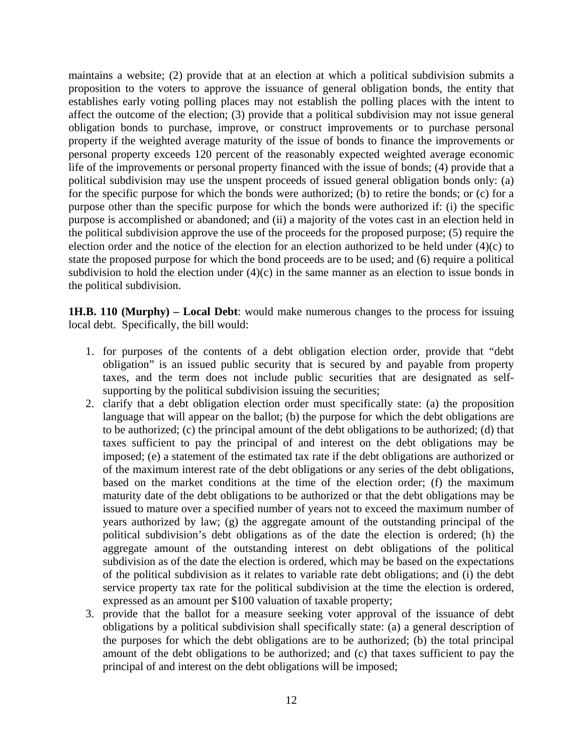maintains a website; (2) provide that at an election at which a political subdivision submits a proposition to the voters to approve the issuance of general obligation bonds, the entity that establishes early voting polling places may not establish the polling places with the intent to affect the outcome of the election; (3) provide that a political subdivision may not issue general obligation bonds to purchase, improve, or construct improvements or to purchase personal property if the weighted average maturity of the issue of bonds to finance the improvements or personal property exceeds 120 percent of the reasonably expected weighted average economic life of the improvements or personal property financed with the issue of bonds; (4) provide that a political subdivision may use the unspent proceeds of issued general obligation bonds only: (a) for the specific purpose for which the bonds were authorized; (b) to retire the bonds; or (c) for a purpose other than the specific purpose for which the bonds were authorized if: (i) the specific purpose is accomplished or abandoned; and (ii) a majority of the votes cast in an election held in the political subdivision approve the use of the proceeds for the proposed purpose; (5) require the election order and the notice of the election for an election authorized to be held under (4)(c) to state the proposed purpose for which the bond proceeds are to be used; and (6) require a political subdivision to hold the election under  $(4)(c)$  in the same manner as an election to issue bonds in the political subdivision.

**1H.B. 110 (Murphy) – Local Debt**: would make numerous changes to the process for issuing local debt. Specifically, the bill would:

- 1. for purposes of the contents of a debt obligation election order, provide that "debt obligation" is an issued public security that is secured by and payable from property taxes, and the term does not include public securities that are designated as selfsupporting by the political subdivision issuing the securities;
- 2. clarify that a debt obligation election order must specifically state: (a) the proposition language that will appear on the ballot; (b) the purpose for which the debt obligations are to be authorized; (c) the principal amount of the debt obligations to be authorized; (d) that taxes sufficient to pay the principal of and interest on the debt obligations may be imposed; (e) a statement of the estimated tax rate if the debt obligations are authorized or of the maximum interest rate of the debt obligations or any series of the debt obligations, based on the market conditions at the time of the election order; (f) the maximum maturity date of the debt obligations to be authorized or that the debt obligations may be issued to mature over a specified number of years not to exceed the maximum number of years authorized by law; (g) the aggregate amount of the outstanding principal of the political subdivision's debt obligations as of the date the election is ordered; (h) the aggregate amount of the outstanding interest on debt obligations of the political subdivision as of the date the election is ordered, which may be based on the expectations of the political subdivision as it relates to variable rate debt obligations; and (i) the debt service property tax rate for the political subdivision at the time the election is ordered, expressed as an amount per \$100 valuation of taxable property;
- 3. provide that the ballot for a measure seeking voter approval of the issuance of debt obligations by a political subdivision shall specifically state: (a) a general description of the purposes for which the debt obligations are to be authorized; (b) the total principal amount of the debt obligations to be authorized; and (c) that taxes sufficient to pay the principal of and interest on the debt obligations will be imposed;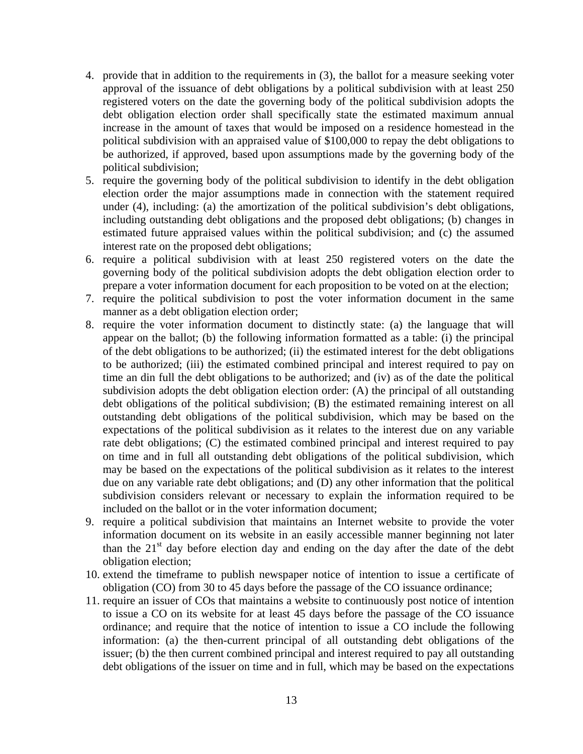- 4. provide that in addition to the requirements in (3), the ballot for a measure seeking voter approval of the issuance of debt obligations by a political subdivision with at least 250 registered voters on the date the governing body of the political subdivision adopts the debt obligation election order shall specifically state the estimated maximum annual increase in the amount of taxes that would be imposed on a residence homestead in the political subdivision with an appraised value of \$100,000 to repay the debt obligations to be authorized, if approved, based upon assumptions made by the governing body of the political subdivision;
- 5. require the governing body of the political subdivision to identify in the debt obligation election order the major assumptions made in connection with the statement required under (4), including: (a) the amortization of the political subdivision's debt obligations, including outstanding debt obligations and the proposed debt obligations; (b) changes in estimated future appraised values within the political subdivision; and (c) the assumed interest rate on the proposed debt obligations;
- 6. require a political subdivision with at least 250 registered voters on the date the governing body of the political subdivision adopts the debt obligation election order to prepare a voter information document for each proposition to be voted on at the election;
- 7. require the political subdivision to post the voter information document in the same manner as a debt obligation election order;
- 8. require the voter information document to distinctly state: (a) the language that will appear on the ballot; (b) the following information formatted as a table: (i) the principal of the debt obligations to be authorized; (ii) the estimated interest for the debt obligations to be authorized; (iii) the estimated combined principal and interest required to pay on time an din full the debt obligations to be authorized; and (iv) as of the date the political subdivision adopts the debt obligation election order: (A) the principal of all outstanding debt obligations of the political subdivision; (B) the estimated remaining interest on all outstanding debt obligations of the political subdivision, which may be based on the expectations of the political subdivision as it relates to the interest due on any variable rate debt obligations; (C) the estimated combined principal and interest required to pay on time and in full all outstanding debt obligations of the political subdivision, which may be based on the expectations of the political subdivision as it relates to the interest due on any variable rate debt obligations; and (D) any other information that the political subdivision considers relevant or necessary to explain the information required to be included on the ballot or in the voter information document;
- 9. require a political subdivision that maintains an Internet website to provide the voter information document on its website in an easily accessible manner beginning not later than the  $21<sup>st</sup>$  day before election day and ending on the day after the date of the debt obligation election;
- 10. extend the timeframe to publish newspaper notice of intention to issue a certificate of obligation (CO) from 30 to 45 days before the passage of the CO issuance ordinance;
- 11. require an issuer of COs that maintains a website to continuously post notice of intention to issue a CO on its website for at least 45 days before the passage of the CO issuance ordinance; and require that the notice of intention to issue a CO include the following information: (a) the then-current principal of all outstanding debt obligations of the issuer; (b) the then current combined principal and interest required to pay all outstanding debt obligations of the issuer on time and in full, which may be based on the expectations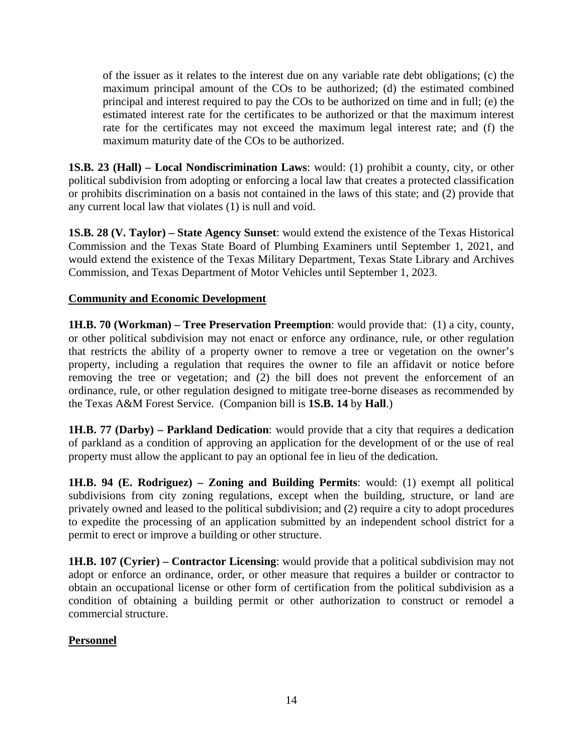of the issuer as it relates to the interest due on any variable rate debt obligations; (c) the maximum principal amount of the COs to be authorized; (d) the estimated combined principal and interest required to pay the COs to be authorized on time and in full; (e) the estimated interest rate for the certificates to be authorized or that the maximum interest rate for the certificates may not exceed the maximum legal interest rate; and (f) the maximum maturity date of the COs to be authorized.

**1S.B. 23 (Hall) – Local Nondiscrimination Laws**: would: (1) prohibit a county, city, or other political subdivision from adopting or enforcing a local law that creates a protected classification or prohibits discrimination on a basis not contained in the laws of this state; and (2) provide that any current local law that violates (1) is null and void.

**1S.B. 28 (V. Taylor) – State Agency Sunset**: would extend the existence of the Texas Historical Commission and the Texas State Board of Plumbing Examiners until September 1, 2021, and would extend the existence of the Texas Military Department, Texas State Library and Archives Commission, and Texas Department of Motor Vehicles until September 1, 2023.

#### **Community and Economic Development**

**1H.B. 70 (Workman) – Tree Preservation Preemption**: would provide that: (1) a city, county, or other political subdivision may not enact or enforce any ordinance, rule, or other regulation that restricts the ability of a property owner to remove a tree or vegetation on the owner's property, including a regulation that requires the owner to file an affidavit or notice before removing the tree or vegetation; and (2) the bill does not prevent the enforcement of an ordinance, rule, or other regulation designed to mitigate tree-borne diseases as recommended by the Texas A&M Forest Service. (Companion bill is **1S.B. 14** by **Hall**.)

**1H.B. 77 (Darby) – Parkland Dedication**: would provide that a city that requires a dedication of parkland as a condition of approving an application for the development of or the use of real property must allow the applicant to pay an optional fee in lieu of the dedication.

**1H.B. 94 (E. Rodriguez) – Zoning and Building Permits**: would: (1) exempt all political subdivisions from city zoning regulations, except when the building, structure, or land are privately owned and leased to the political subdivision; and (2) require a city to adopt procedures to expedite the processing of an application submitted by an independent school district for a permit to erect or improve a building or other structure.

**1H.B. 107 (Cyrier) – Contractor Licensing**: would provide that a political subdivision may not adopt or enforce an ordinance, order, or other measure that requires a builder or contractor to obtain an occupational license or other form of certification from the political subdivision as a condition of obtaining a building permit or other authorization to construct or remodel a commercial structure.

#### **Personnel**